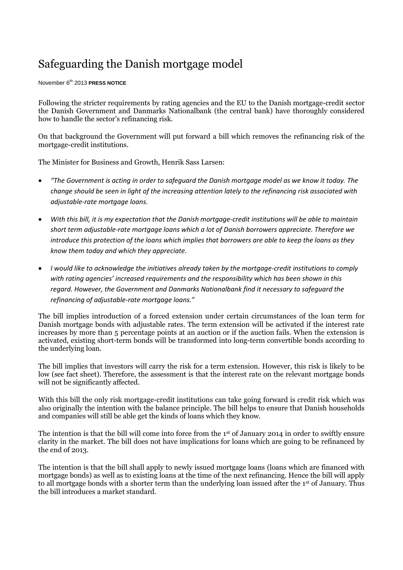## Safeguarding the Danish mortgage model

November 6th 2013 **PRESS NOTICE**

Following the stricter requirements by rating agencies and the EU to the Danish mortgage-credit sector the Danish Government and Danmarks Nationalbank (the central bank) have thoroughly considered how to handle the sector's refinancing risk.

On that background the Government will put forward a bill which removes the refinancing risk of the mortgage-credit institutions.

The Minister for Business and Growth, Henrik Sass Larsen:

- *"The Government is acting in order to safeguard the Danish mortgage model as we know it today. The change should be seen in light of the increasing attention lately to the refinancing risk associated with adjustable-rate mortgage loans.*
- *With this bill, it is my expectation that the Danish mortgage-credit institutions will be able to maintain short term adjustable-rate mortgage loans which a lot of Danish borrowers appreciate. Therefore we introduce this protection of the loans which implies that borrowers are able to keep the loans as they know them today and which they appreciate.*
- *I would like to acknowledge the initiatives already taken by the mortgage-credit institutions to comply with rating agencies' increased requirements and the responsibility which has been shown in this regard. However, the Government and Danmarks Nationalbank find it necessary to safeguard the refinancing of adjustable-rate mortgage loans."*

The bill implies introduction of a forced extension under certain circumstances of the loan term for Danish mortgage bonds with adjustable rates. The term extension will be activated if the interest rate increases by more than 5 percentage points at an auction or if the auction fails. When the extension is activated, existing short-term bonds will be transformed into long-term convertible bonds according to the underlying loan.

The bill implies that investors will carry the risk for a term extension. However, this risk is likely to be low (see fact sheet). Therefore, the assessment is that the interest rate on the relevant mortgage bonds will not be significantly affected.

With this bill the only risk mortgage-credit institutions can take going forward is credit risk which was also originally the intention with the balance principle. The bill helps to ensure that Danish households and companies will still be able get the kinds of loans which they know.

The intention is that the bill will come into force from the 1st of January 2014 in order to swiftly ensure clarity in the market. The bill does not have implications for loans which are going to be refinanced by the end of 2013.

The intention is that the bill shall apply to newly issued mortgage loans (loans which are financed with mortgage bonds) as well as to existing loans at the time of the next refinancing. Hence the bill will apply to all mortgage bonds with a shorter term than the underlying loan issued after the 1st of January. Thus the bill introduces a market standard.